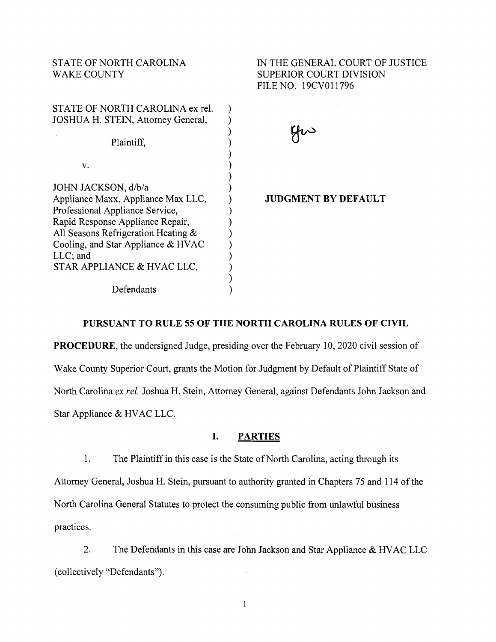### STATE OF NORTH CAROLINA WAKE COUNTY

| STATE OF NORTH CAROLINA ex rel.<br>JOSHUA H. STEIN, Attorney General,   |  |
|-------------------------------------------------------------------------|--|
| Plaintiff,                                                              |  |
| v.                                                                      |  |
| JOHN JACKSON, d/b/a                                                     |  |
| Appliance Maxx, Appliance Max LLC,<br>Professional Appliance Service,   |  |
| Rapid Response Appliance Repair,<br>All Seasons Refrigeration Heating & |  |
| Cooling, and Star Appliance & HVAC<br>$LLC$ ; and                       |  |
| STAR APPLIANCE & HVAC LLC,                                              |  |
| Defendants                                                              |  |

IN THE GENERAL COURT OF JUSTICE SUPERIOR COURT DIVISION FILE NO. 19CV011796

yu

**JUDGMENT BY DEFAULT** 

### **PURSUANT TO RULE 55 OF THE NORTH CAROLINA RULES OF CIVIL**

**PROCEDURE,** the undersigned Judge, presiding over the February 10, 2020 civil session of Wake County Superior Court, grants the Motion for Judgment by Default of Plaintiff State of North Carolina *ex rel.* Joshua H. Stein, Attorney General, against Defendants John Jackson and Star Appliance & HVAC LLC.

#### **I. PARTIES**

1. The Plaintiff in this case is the State of North Carolina, acting through its Attorney General, Joshua H. Stein, pursuant to authority granted in Chapters 75 and 114 of the North Carolina General Statutes to protect the consuming public from unlawful business practices.

2. The Defendants in this case are John Jackson and Star Appliance & HVAC LLC (collectively "Defendants").

 $\mathbf{1}$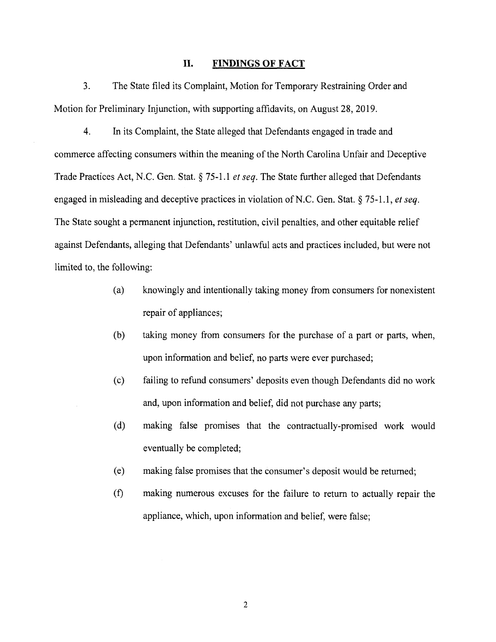#### **II. FINDINGS OF FACT**

3. The State filed its Complaint, Motion for Temporary Restraining Order and Motion for Preliminary Injunction, with supporting affidavits, on August 28, 2019.

4. In its Complaint, the State alleged that Defendants engaged in trade and commerce affecting consumers within the meaning of the North Carolina Unfair and Deceptive Trade Practices Act, N.C. Gen. Stat.§ 75-1.1 *et seq.* The State further alleged that Defendants engaged in misleading and deceptive practices in violation of N.C. Gen. Stat. § 75-1.1, *et seq.* The State sought a permanent injunction, restitution, civil penalties, and other equitable relief against Defendants, alleging that Defendants' unlawful acts and practices included, but were not limited to, the following:

- (a) knowingly and intentionally taking money from consumers for nonexistent repair of appliances;
- (b) taking money from consumers for the purchase of a part or parts, when, upon information and belief, no parts were ever purchased;
- ( c) failing to refund consumers' deposits even though Defendants did no work and, upon information and belief, did not purchase any parts;
- (d) making false promises that the contractually-promised work would eventually be completed;
- (e) making false promises that the consumer's deposit would be returned;
- (f) making numerous excuses for the failure to return to actually repair the appliance, which, upon information and belief, were false;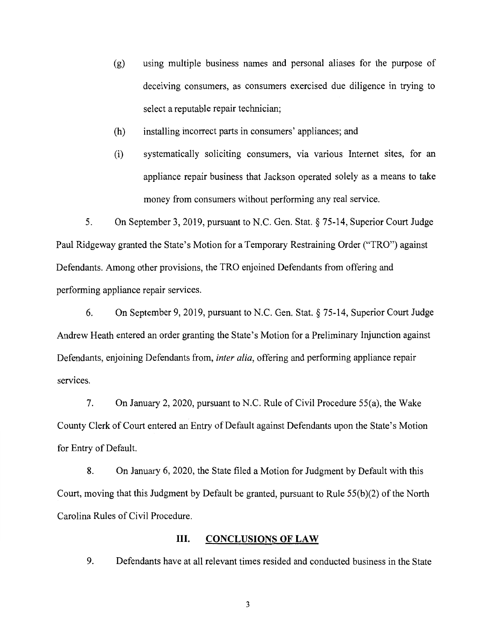- (g) using multiple business names and personal aliases for the purpose of deceiving consumers, as consumers exercised due diligence in trying to select a reputable repair technician;
- (h) installing incorrect parts in consumers' appliances; and
- (i) systematically soliciting consumers, via various Internet sites, for an appliance repair business that Jackson operated solely as a means to take money from consumers without performing any real service.

5. On September 3, 2019, pursuant to N.C. Gen. Stat.§ 75-14, Superior Court Judge Paul Ridgeway granted the State's Motion for a Temporary Restraining Order ("TRO") against Defendants. Among other provisions, the TRO enjoined Defendants from offering and performing appliance repair services.

6. On September 9, 2019, pursuant to N.C. Gen. Stat.§ 75-14, Superior Court Judge Andrew Heath entered an order granting the State's Motion for a Preliminary Injunction against Defendants, enjoining Defendants from, *inter alia,* offering and performing appliance repair services.

7. On January 2, 2020, pursuant to N.C. Rule of Civil Procedure 55(a), the Wake County Clerk of Court entered an Entry of Default against Defendants upon the State's Motion for Entry of Default.

8. On January 6, 2020, the State filed a Motion for Judgment by Default with this Court, moving that this Judgment by Default be granted, pursuant to Rule 55(b)(2) of the North Carolina Rules of Civil Procedure.

#### **III.** CONCLUSIONS OF LAW

9. Defendants have at all relevant times resided and conducted business in the State

3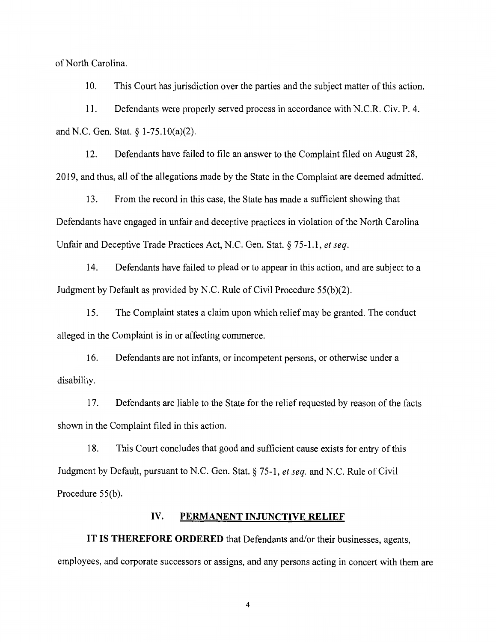of North Carolina.

10. This Court has jurisdiction over the parties and the subject matter of this action.

11. Defendants were properly served process in accordance with N.C.R. Civ. P. 4. and N.C. Gen. Stat. § 1-75.10(a)(2).

12. Defendants have failed to file an answer to the Complaint filed on August 28, 2019, and thus, all of the allegations made by the State in the Complaint are deemed admitted.

13. From the record in this case, the State has made a sufficient showing that Defendants have engaged in unfair and deceptive practices in violation of the North Carolina Unfair and Deceptive Trade Practices Act, N.C. Gen. Stat.§ 75-1.1, *et seq.* 

14. Defendants have failed to plead or to appear in this action, and are subject to a Judgment by Default as provided by N.C. Rule of Civil Procedure 55(b)(2).

15. The Complaint states a claim upon which relief may be granted. The conduct alleged in the Complaint is in or affecting commerce.

16. Defendants are not infants, or incompetent persons, or otherwise under a disability.

17. Defendants are liable to the State for the relief requested by reason of the facts shown in the Complaint filed in this action.

18. This Court concludes that good and sufficient cause exists for entry of this Judgment by Default, pursuant to N.C. Gen. Stat.§ 75-1, *et seq.* and N.C. Rule of Civil Procedure 55(b).

#### **IV. PERMANENT INJUNCTIVE RELIEF**

**IT IS THEREFORE ORDERED** that Defendants and/or their businesses, agents, employees, and corporate successors or assigns, and any persons acting in concert with them are

4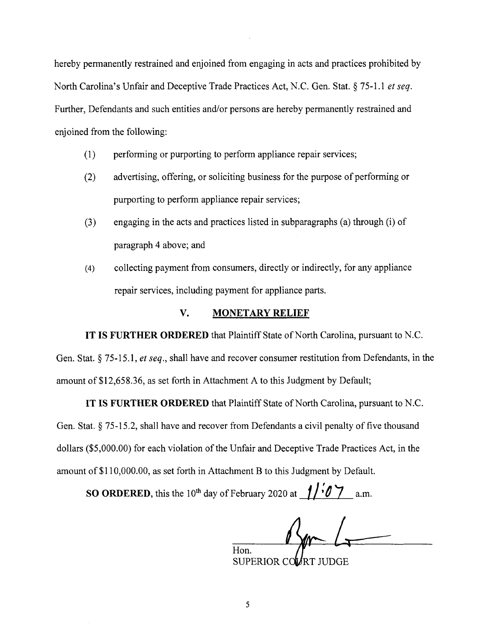hereby permanently restrained and enjoined from engaging in acts and practices prohibited by North Carolina's Unfair and Deceptive Trade Practices Act, N.C. Gen. Stat.§ 75-1.1 *et seq.*  Further, Defendants and such entities and/or persons are hereby permanently restrained and enjoined from the following:

- (1) performing or purporting to perform appliance repair services;
- (2) advertising, offering, or soliciting business for the purpose of performing or purporting to perform appliance repair services;
- (3) engaging in the acts and practices listed in subparagraphs (a) through (i) of paragraph 4 above; and
- (4) collecting payment from consumers, directly or indirectly, for any appliance repair services, including payment for appliance parts.

#### **V. MONETARY RELIEF**

**IT IS FURTHER ORDERED** that Plaintiff State of North Carolina, pursuant to N.C.

Gen. Stat.§ 75-15.1, *et seq.,* shall have and recover consumer restitution from Defendants, in the amount of \$12,658.36, as set forth in Attachment A to this Judgment by Default;

**IT IS FURTHER ORDERED** that Plaintiff State of North Carolina, pursuant to N.C.

Gen. Stat.§ 75-15.2, shall have and recover from Defendants a civil penalty of five thousand dollars (\$5,000.00) for each violation of the Unfair and Deceptive Trade Practices Act, in the amount of \$110,000.00, as set forth in Attachment B to this Judgment by Default.

**SO ORDERED,** this the 10<sup>th</sup> day of February 2020 at  $f/$  **6**  $\frac{7}{9}$  a.m.

Hon.

SUPERIOR CO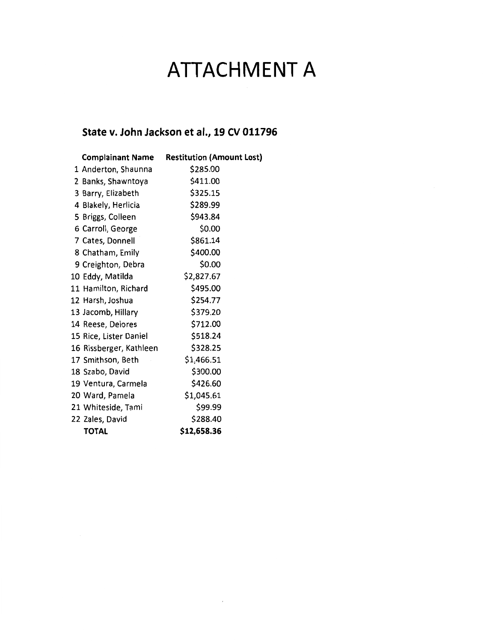# **ATTACHMENT A**

## **State v. John Jackson et al., 19 CV 011796**

|                         | <b>Complainant Name Restitution (Amount Lost)</b> |
|-------------------------|---------------------------------------------------|
| 1 Anderton, Shaunna     | \$285.00                                          |
| 2 Banks, Shawntoya      | \$411.00                                          |
| 3 Barry, Elizabeth      | \$325.15                                          |
| 4 Blakely, Herlicia     | \$289.99                                          |
| 5 Briggs, Colleen       | \$943.84                                          |
| 6 Carroll, George       | \$0.00                                            |
| 7 Cates, Donnell        | \$861.14                                          |
| 8 Chatham, Emily        | \$400.00                                          |
| 9 Creighton, Debra      | \$0.00                                            |
| 10 Eddy, Matilda        | \$2,827.67                                        |
| 11 Hamilton, Richard    | \$495.00                                          |
| 12 Harsh, Joshua        | \$254.77                                          |
| 13 Jacomb, Hillary      | \$379.20                                          |
| 14 Reese, Delores       | \$712.00                                          |
| 15 Rice, Lister Daniel  | \$518.24                                          |
| 16 Rissberger, Kathleen | \$328.25                                          |
| 17 Smithson, Beth       | \$1,466.51                                        |
| 18 Szabo, David         | \$300.00                                          |
| 19 Ventura, Carmela     | \$426.60                                          |
| 20 Ward, Pamela         | \$1,045.61                                        |
| 21 Whiteside, Tami      | \$99.99                                           |
| 22 Zales, David         | \$288.40                                          |
| <b>TOTAL</b>            | \$12,658.36                                       |